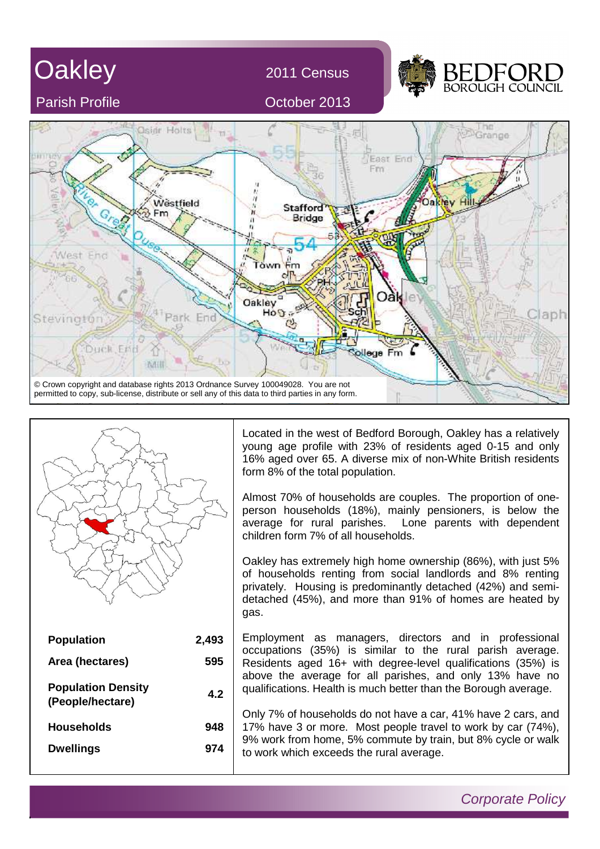



**948**

**974**

**Households**

**Dwellings**

Corporate Policy

Located in the west of Bedford Borough, Oakley has a relatively young age profile with 23% of residents aged 0-15 and only 16% aged over 65. A diverse mix of non-White British residents form 8% of the total population.

Almost 70% of households are couples. The proportion of oneperson households (18%), mainly pensioners, is below the average for rural parishes. Lone parents with dependent children form 7% of all households.

Oakley has extremely high home ownership (86%), with just 5% of households renting from social landlords and 8% renting privately. Housing is predominantly detached (42%) and semidetached (45%), and more than 91% of homes are heated by gas.

Employment as managers, directors and in professional occupations (35%) is similar to the rural parish average. Residents aged 16+ with degree-level qualifications (35%) is above the average for all parishes, and only 13% have no qualifications. Health is much better than the Borough average.

Only 7% of households do not have a car, 41% have 2 cars, and 17% have 3 or more. Most people travel to work by car (74%), 9% work from home, 5% commute by train, but 8% cycle or walk to work which exceeds the rural average.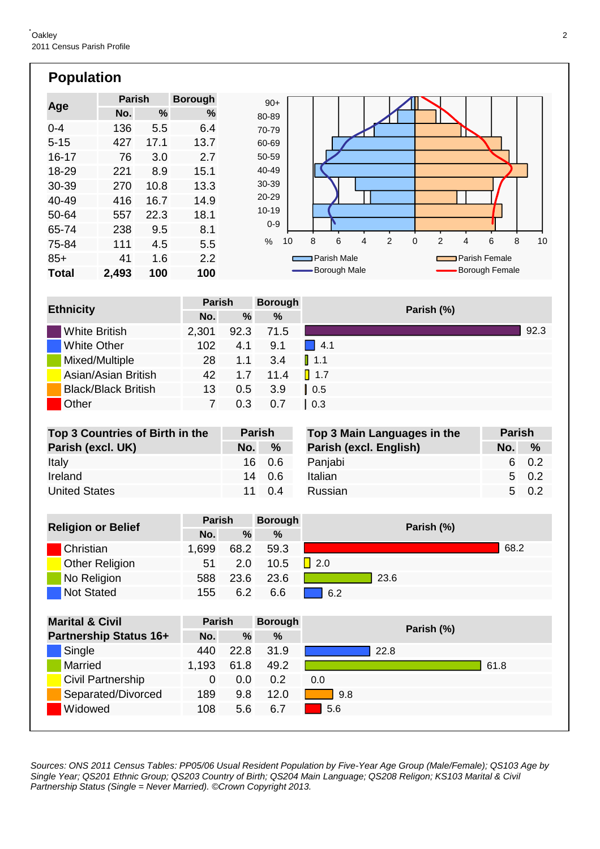| <b>Population</b> |               |      |                |           |
|-------------------|---------------|------|----------------|-----------|
|                   | <b>Parish</b> |      | <b>Borough</b> | $90+$     |
| Age               | No.           | ℅    | %              | 80-89     |
| $0 - 4$           | 136           | 5.5  | 6.4            | 70-79     |
| $5 - 15$          | 427           | 17.1 | 13.7           | 60-69     |
| $16 - 17$         | 76            | 3.0  | 2.7            | 50-59     |
| 18-29             | 221           | 8.9  | 15.1           | 40-49     |
| 30-39             | 270           | 10.8 | 13.3           | 30-39     |
| 40-49             | 416           | 16.7 | 14.9           | 20-29     |
| 50-64             | 557           | 22.3 | 18.1           | $10 - 19$ |
| 65-74             | 238           | 9.5  | 8.1            | $0 - 9$   |

**100 100**

4.5 5.5

1.6 2.2

111

**2,493**

85+ **Total**

75-84

41



|                            | <b>Parish</b> |      | <b>Borough</b> | Parish (%)         |
|----------------------------|---------------|------|----------------|--------------------|
| <b>Ethnicity</b>           | No.           | %    | %              |                    |
| <b>White British</b>       | 2,301         | 92.3 | 71.5           | 92.3               |
| <b>White Other</b>         | 102           | 4.1  | 9.1            | $\Box$ 4.1         |
| Mixed/Multiple             | 28            | 1.1  | 3.4            | $\blacksquare$ 1.1 |
| Asian/Asian British        | 42            | 1.7  | 11.4           | $\blacksquare$ 1.7 |
| <b>Black/Black British</b> | 13            | 0.5  | 3.9            | $\vert$ 0.5        |
| Other                      |               | 0.3  | 0.7            | 0.3                |

| Top 3 Countries of Birth in the | <b>Parish</b> |                | Top 3 Main Languages in the | <b>Parish</b> |            |
|---------------------------------|---------------|----------------|-----------------------------|---------------|------------|
| Parish (excl. UK)               | No.           | $\%$           | Parish (excl. English)      | No. $9$       |            |
| Italy                           |               | 16 0.6         | Panjabi                     |               | 6 0        |
| Ireland                         |               | 14 0.6         | Italian                     |               | $5\quad 0$ |
| <b>United States</b>            |               | $11 \quad 0.4$ | <b>Russian</b>              |               | $5\quad 0$ |
|                                 |               |                |                             |               |            |

|                           | <b>Parish</b> |      | <b>Borough</b> | Parish (%) |  |  |
|---------------------------|---------------|------|----------------|------------|--|--|
| <b>Religion or Belief</b> | No.           | $\%$ | %              |            |  |  |
| Christian                 | 1,699         | 68.2 | 59.3           | 68.2       |  |  |
| <b>Other Religion</b>     | 51            | 2.0  | 10.5           | $\Box$ 2.0 |  |  |
| No Religion               | 588           | 23.6 | 23.6           | 23.6       |  |  |
| <b>Not Stated</b>         | 155           | 6.2  | 6.6            | 6.2        |  |  |

| <b>Marital &amp; Civil</b>    | <b>Parish</b> |      | <b>Borough</b> | Parish (%) |
|-------------------------------|---------------|------|----------------|------------|
| <b>Partnership Status 16+</b> | No.           | %    | %              |            |
| Single                        | 440           | 22.8 | 31.9           | 22.8       |
| <b>Married</b>                | 1,193         | 61.8 | 49.2           | 61.8       |
| Civil Partnership             | 0             | 0.0  | 0.2            | 0.0        |
| Separated/Divorced            | 189           | 9.8  | 12.0           | 9.8        |
| Widowed                       | 108           | 5.6  | 6.7            | 5.6        |
|                               |               |      |                |            |

Sources: ONS 2011 Census Tables: PP05/06 Usual Resident Population by Five-Year Age Group (Male/Female); QS103 Age by Single Year; QS201 Ethnic Group; QS203 Country of Birth; QS204 Main Language; QS208 Religon; KS103 Marital & Civil Partnership Status (Single = Never Married). ©Crown Copyright 2013.

**No. %**

0.2

0.2

0.2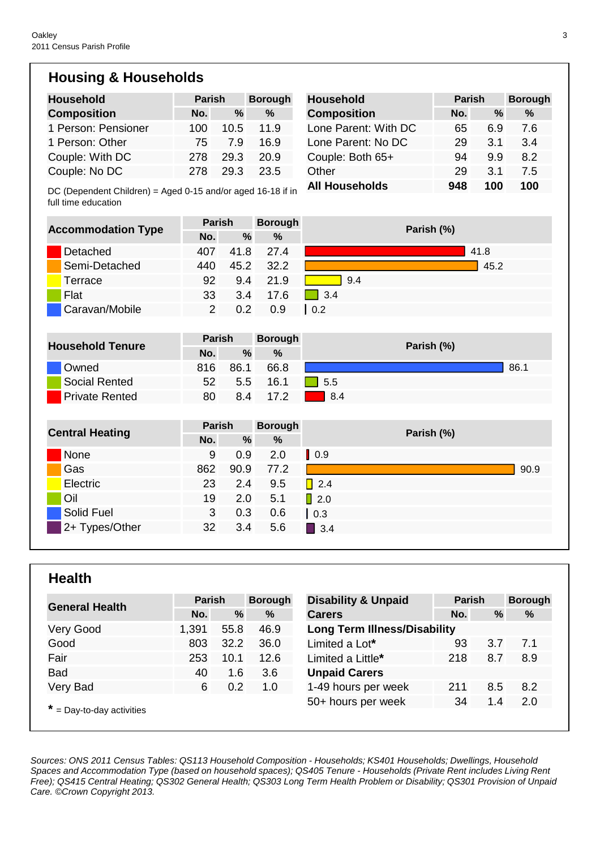## **Housing & Households**

| <b>Household</b>                                                                   | <b>Parish</b>  |      | <b>Borough</b> | <b>Household</b>      | <b>Parish</b> |      | <b>Borough</b> |
|------------------------------------------------------------------------------------|----------------|------|----------------|-----------------------|---------------|------|----------------|
| <b>Composition</b>                                                                 | No.            | $\%$ | $\%$           | <b>Composition</b>    | No.           | $\%$ | %              |
| 1 Person: Pensioner                                                                | 100            | 10.5 | 11.9           | Lone Parent: With DC  | 65            | 6.9  | 7.6            |
| 1 Person: Other                                                                    | 75             | 7.9  | 16.9           | Lone Parent: No DC    | 29            | 3.1  | 3.4            |
| Couple: With DC                                                                    | 278            | 29.3 | 20.9           | Couple: Both 65+      | 94            | 9.9  | 8.2            |
| Couple: No DC                                                                      | 278            | 29.3 | 23.5           | Other                 | 29            | 3.1  | 7.5            |
| DC (Dependent Children) = Aged 0-15 and/or aged 16-18 if in<br>full time education |                |      |                | <b>All Households</b> | 948           | 100  | 100            |
| <b>Accommodation Type</b>                                                          | <b>Parish</b>  |      | <b>Borough</b> | Parish (%)            |               |      |                |
|                                                                                    | No.            | $\%$ | %              |                       |               |      |                |
| Detached                                                                           | 407            | 41.8 | 27.4           |                       |               | 41.8 |                |
| Semi-Detached                                                                      | 440            | 45.2 | 32.2           |                       |               | 45.2 |                |
| Terrace                                                                            | 92             | 9.4  | 21.9           | 9.4                   |               |      |                |
| Flat                                                                               | 33             | 3.4  | 17.6           | 3.4                   |               |      |                |
| Caravan/Mobile                                                                     | $\overline{2}$ | 0.2  | 0.9            | $\vert 0.2 \vert$     |               |      |                |
|                                                                                    |                |      |                |                       |               |      |                |
| <b>Household Tenure</b>                                                            | <b>Parish</b>  |      | <b>Borough</b> | Parish (%)            |               |      |                |
|                                                                                    | No.            | $\%$ | $\%$           |                       |               |      |                |
| Owned                                                                              | 816            | 86.1 | 66.8           |                       |               |      | 86.1           |
| <b>Social Rented</b>                                                               | 52             | 5.5  | 16.1           | 5.5                   |               |      |                |
| <b>Private Rented</b>                                                              | 80             | 8.4  | 17.2           | 8.4                   |               |      |                |
|                                                                                    |                |      |                |                       |               |      |                |
| <b>Central Heating</b>                                                             | <b>Parish</b>  |      | <b>Borough</b> | Parish (%)            |               |      |                |
|                                                                                    | No.            | $\%$ | $\frac{9}{6}$  |                       |               |      |                |
| None                                                                               | 9              | 0.9  | 2.0            | $\vert$ 0.9           |               |      |                |
| Gas                                                                                | 862            | 90.9 | 77.2           |                       |               |      | 90.9           |
| Electric                                                                           | 23             | 2.4  | 9.5            | $\Box$ 2.4            |               |      |                |
| Oil                                                                                | 19             | 2.0  | 5.1            | $\sqrt{2.0}$          |               |      |                |
| <b>Solid Fuel</b>                                                                  | 3              | 0.3  | 0.6            | $\vert$ 0.3           |               |      |                |
| 2+ Types/Other                                                                     | 32             | 3.4  | 5.6            | $\blacksquare$ 3.4    |               |      |                |

## **Health**

|                             | <b>Parish</b> |      | <b>Borough</b> | <b>Disability &amp; Unpaid</b>      | <b>Parish</b> |     | <b>Borough</b> |
|-----------------------------|---------------|------|----------------|-------------------------------------|---------------|-----|----------------|
| <b>General Health</b>       | No.           | %    | %              | <b>Carers</b>                       | No.           | %   | %              |
| Very Good                   | 1,391         | 55.8 | 46.9           | <b>Long Term Illness/Disability</b> |               |     |                |
| Good                        | 803           | 32.2 | 36.0           | Limited a Lot*                      | 93            | 3.7 | 7.1            |
| Fair                        | 253           | 10.1 | 12.6           | Limited a Little*                   | 218           | 8.7 | 8.9            |
| <b>Bad</b>                  | 40            | 1.6  | 3.6            | <b>Unpaid Carers</b>                |               |     |                |
| Very Bad                    | 6             | 0.2  | 1.0            | 1-49 hours per week                 | 211           | 8.5 | 8.2            |
|                             |               |      |                | 50+ hours per week                  | 34            | 1.4 | 2.0            |
| $*$ = Day-to-day activities |               |      |                |                                     |               |     |                |

Sources: ONS 2011 Census Tables: QS113 Household Composition - Households; KS401 Households; Dwellings, Household Spaces and Accommodation Type (based on household spaces); QS405 Tenure - Households (Private Rent includes Living Rent Free); QS415 Central Heating; QS302 General Health; QS303 Long Term Health Problem or Disability; QS301 Provision of Unpaid Care. ©Crown Copyright 2013.